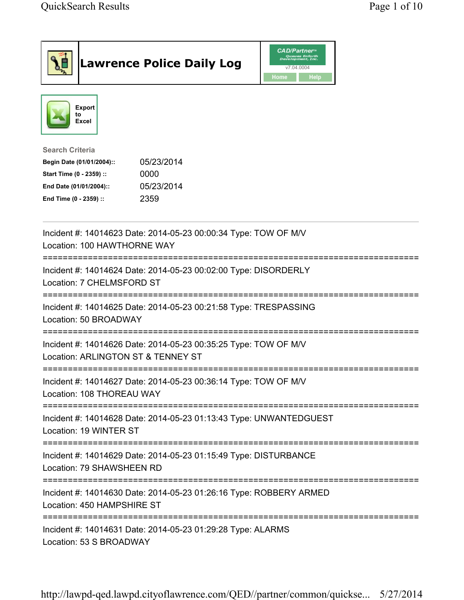| <b>Lawrence Police Daily Log</b>                                                                                                                                                 | <b>CAD/Partner</b> "<br>Queues Enforth<br>Development, Inc.<br>v7.04.0004<br><b>Home</b><br><b>Help</b> |
|----------------------------------------------------------------------------------------------------------------------------------------------------------------------------------|---------------------------------------------------------------------------------------------------------|
| Export<br>to<br>Excel                                                                                                                                                            |                                                                                                         |
| <b>Search Criteria</b><br>05/23/2014<br>Begin Date (01/01/2004)::<br>Start Time (0 - 2359) ::<br>0000<br>05/23/2014<br>End Date (01/01/2004)::<br>2359<br>End Time (0 - 2359) :: |                                                                                                         |
| Incident #: 14014623 Date: 2014-05-23 00:00:34 Type: TOW OF M/V<br>Location: 100 HAWTHORNE WAY                                                                                   |                                                                                                         |
| Incident #: 14014624 Date: 2014-05-23 00:02:00 Type: DISORDERLY<br>Location: 7 CHELMSFORD ST                                                                                     |                                                                                                         |
| Incident #: 14014625 Date: 2014-05-23 00:21:58 Type: TRESPASSING<br>Location: 50 BROADWAY                                                                                        |                                                                                                         |
| Incident #: 14014626 Date: 2014-05-23 00:35:25 Type: TOW OF M/V<br>Location: ARLINGTON ST & TENNEY ST                                                                            |                                                                                                         |
| Incident #: 14014627 Date: 2014-05-23 00:36:14 Type: TOW OF M/V<br>Location: 108 THOREAU WAY                                                                                     |                                                                                                         |
| Incident #: 14014628 Date: 2014-05-23 01:13:43 Type: UNWANTEDGUEST<br>Location: 19 WINTER ST                                                                                     |                                                                                                         |
| Incident #: 14014629 Date: 2014-05-23 01:15:49 Type: DISTURBANCE<br>Location: 79 SHAWSHEEN RD                                                                                    |                                                                                                         |
| Incident #: 14014630 Date: 2014-05-23 01:26:16 Type: ROBBERY ARMED<br>Location: 450 HAMPSHIRE ST                                                                                 |                                                                                                         |
| Incident #: 14014631 Date: 2014-05-23 01:29:28 Type: ALARMS<br>Location: 53 S BROADWAY                                                                                           |                                                                                                         |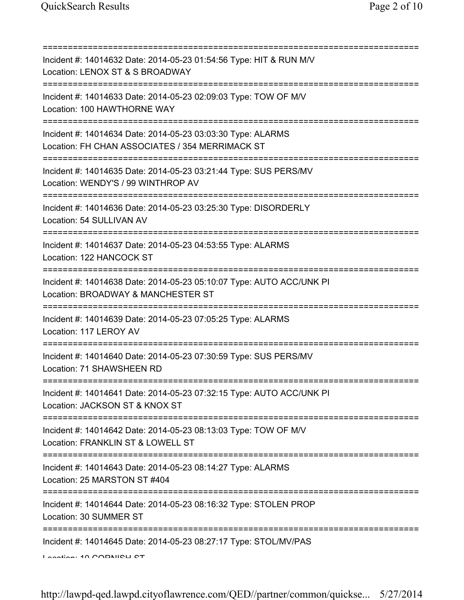| ===============================                                                                                                                                    |
|--------------------------------------------------------------------------------------------------------------------------------------------------------------------|
| Incident #: 14014632 Date: 2014-05-23 01:54:56 Type: HIT & RUN M/V<br>Location: LENOX ST & S BROADWAY                                                              |
| Incident #: 14014633 Date: 2014-05-23 02:09:03 Type: TOW OF M/V<br>Location: 100 HAWTHORNE WAY<br>=========================                                        |
| Incident #: 14014634 Date: 2014-05-23 03:03:30 Type: ALARMS<br>Location: FH CHAN ASSOCIATES / 354 MERRIMACK ST                                                     |
| Incident #: 14014635 Date: 2014-05-23 03:21:44 Type: SUS PERS/MV<br>Location: WENDY'S / 99 WINTHROP AV                                                             |
| =========================<br>Incident #: 14014636 Date: 2014-05-23 03:25:30 Type: DISORDERLY<br>Location: 54 SULLIVAN AV                                           |
| --------------------------------<br>Incident #: 14014637 Date: 2014-05-23 04:53:55 Type: ALARMS<br>Location: 122 HANCOCK ST<br>=================================== |
| Incident #: 14014638 Date: 2014-05-23 05:10:07 Type: AUTO ACC/UNK PI<br>Location: BROADWAY & MANCHESTER ST                                                         |
| Incident #: 14014639 Date: 2014-05-23 07:05:25 Type: ALARMS<br>Location: 117 LEROY AV                                                                              |
| Incident #: 14014640 Date: 2014-05-23 07:30:59 Type: SUS PERS/MV<br>Location: 71 SHAWSHEEN RD                                                                      |
| Incident #: 14014641 Date: 2014-05-23 07:32:15 Type: AUTO ACC/UNK PI<br>Location: JACKSON ST & KNOX ST                                                             |
| ==========================<br>Incident #: 14014642 Date: 2014-05-23 08:13:03 Type: TOW OF M/V<br>Location: FRANKLIN ST & LOWELL ST                                 |
| Incident #: 14014643 Date: 2014-05-23 08:14:27 Type: ALARMS<br>Location: 25 MARSTON ST #404                                                                        |
| Incident #: 14014644 Date: 2014-05-23 08:16:32 Type: STOLEN PROP<br>Location: 30 SUMMER ST                                                                         |
| :=============================<br>Incident #: 14014645 Date: 2014-05-23 08:27:17 Type: STOL/MV/PAS<br>Lootian: 40 CODNICU CT                                       |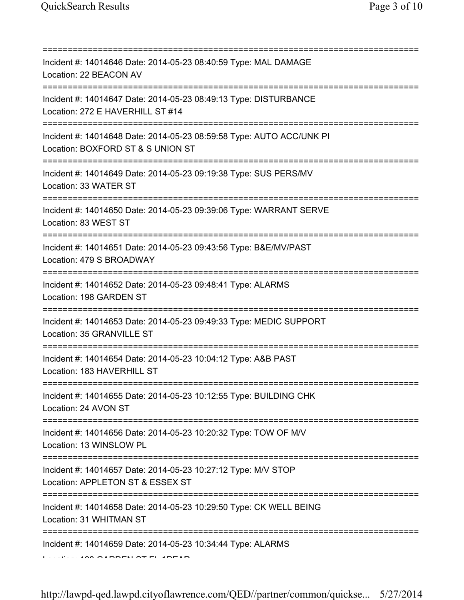| Incident #: 14014646 Date: 2014-05-23 08:40:59 Type: MAL DAMAGE<br>Location: 22 BEACON AV                                                     |
|-----------------------------------------------------------------------------------------------------------------------------------------------|
| Incident #: 14014647 Date: 2014-05-23 08:49:13 Type: DISTURBANCE<br>Location: 272 E HAVERHILL ST #14<br>===================================== |
| Incident #: 14014648 Date: 2014-05-23 08:59:58 Type: AUTO ACC/UNK PI<br>Location: BOXFORD ST & S UNION ST<br>======================           |
| Incident #: 14014649 Date: 2014-05-23 09:19:38 Type: SUS PERS/MV<br>Location: 33 WATER ST                                                     |
| Incident #: 14014650 Date: 2014-05-23 09:39:06 Type: WARRANT SERVE<br>Location: 83 WEST ST                                                    |
| Incident #: 14014651 Date: 2014-05-23 09:43:56 Type: B&E/MV/PAST<br>Location: 479 S BROADWAY                                                  |
| Incident #: 14014652 Date: 2014-05-23 09:48:41 Type: ALARMS<br>Location: 198 GARDEN ST                                                        |
| Incident #: 14014653 Date: 2014-05-23 09:49:33 Type: MEDIC SUPPORT<br>Location: 35 GRANVILLE ST                                               |
| Incident #: 14014654 Date: 2014-05-23 10:04:12 Type: A&B PAST<br>Location: 183 HAVERHILL ST                                                   |
| Incident #: 14014655 Date: 2014-05-23 10:12:55 Type: BUILDING CHK<br>Location: 24 AVON ST<br>===================================              |
| Incident #: 14014656 Date: 2014-05-23 10:20:32 Type: TOW OF M/V<br>Location: 13 WINSLOW PL                                                    |
| Incident #: 14014657 Date: 2014-05-23 10:27:12 Type: M/V STOP<br>Location: APPLETON ST & ESSEX ST                                             |
| :============<br>Incident #: 14014658 Date: 2014-05-23 10:29:50 Type: CK WELL BEING<br>Location: 31 WHITMAN ST                                |
| Incident #: 14014659 Date: 2014-05-23 10:34:44 Type: ALARMS                                                                                   |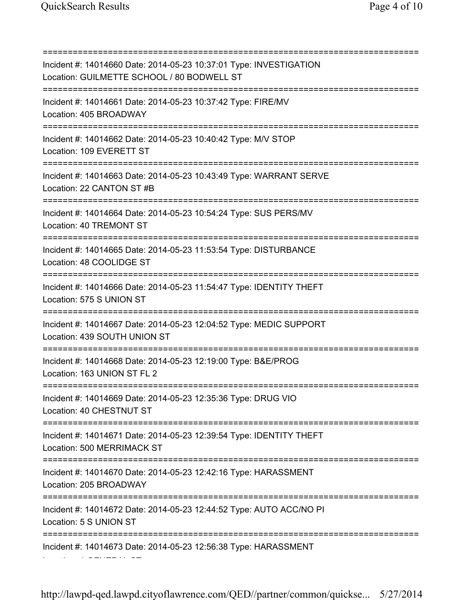=========================================================================== Incident #: 14014660 Date: 2014-05-23 10:37:01 Type: INVESTIGATION Location: GUILMETTE SCHOOL / 80 BODWELL ST =========================================================================== Incident #: 14014661 Date: 2014-05-23 10:37:42 Type: FIRE/MV Location: 405 BROADWAY =========================================================================== Incident #: 14014662 Date: 2014-05-23 10:40:42 Type: M/V STOP Location: 109 EVERETT ST =========================================================================== Incident #: 14014663 Date: 2014-05-23 10:43:49 Type: WARRANT SERVE Location: 22 CANTON ST #B =========================================================================== Incident #: 14014664 Date: 2014-05-23 10:54:24 Type: SUS PERS/MV Location: 40 TREMONT ST =========================================================================== Incident #: 14014665 Date: 2014-05-23 11:53:54 Type: DISTURBANCE Location: 48 COOLIDGE ST =========================================================================== Incident #: 14014666 Date: 2014-05-23 11:54:47 Type: IDENTITY THEFT Location: 575 S UNION ST =========================================================================== Incident #: 14014667 Date: 2014-05-23 12:04:52 Type: MEDIC SUPPORT Location: 439 SOUTH UNION ST =========================================================================== Incident #: 14014668 Date: 2014-05-23 12:19:00 Type: B&E/PROG Location: 163 UNION ST FL 2 =========================================================================== Incident #: 14014669 Date: 2014-05-23 12:35:36 Type: DRUG VIO Location: 40 CHESTNUT ST =========================================================================== Incident #: 14014671 Date: 2014-05-23 12:39:54 Type: IDENTITY THEFT Location: 500 MERRIMACK ST =========================================================================== Incident #: 14014670 Date: 2014-05-23 12:42:16 Type: HARASSMENT Location: 205 BROADWAY =========================================================================== Incident #: 14014672 Date: 2014-05-23 12:44:52 Type: AUTO ACC/NO PI Location: 5 S UNION ST =========================================================================== Incident #: 14014673 Date: 2014-05-23 12:56:38 Type: HARASSMENT Location: 1 GENERAL ST

http://lawpd-qed.lawpd.cityoflawrence.com/QED//partner/common/quickse... 5/27/2014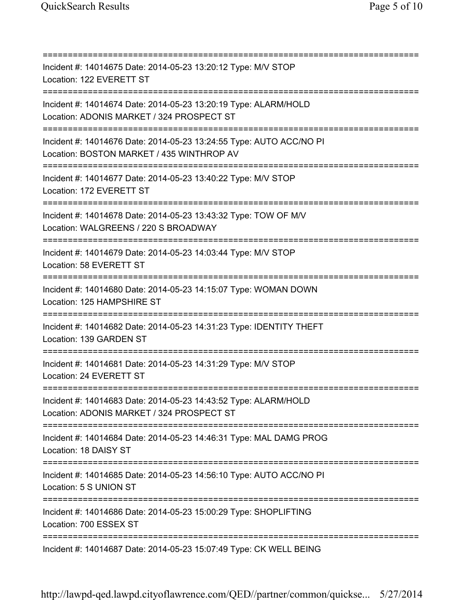=========================================================================== Incident #: 14014675 Date: 2014-05-23 13:20:12 Type: M/V STOP Location: 122 EVERETT ST =========================================================================== Incident #: 14014674 Date: 2014-05-23 13:20:19 Type: ALARM/HOLD Location: ADONIS MARKET / 324 PROSPECT ST =========================================================================== Incident #: 14014676 Date: 2014-05-23 13:24:55 Type: AUTO ACC/NO PI Location: BOSTON MARKET / 435 WINTHROP AV =========================================================================== Incident #: 14014677 Date: 2014-05-23 13:40:22 Type: M/V STOP Location: 172 EVERETT ST =========================================================================== Incident #: 14014678 Date: 2014-05-23 13:43:32 Type: TOW OF M/V Location: WALGREENS / 220 S BROADWAY =========================================================================== Incident #: 14014679 Date: 2014-05-23 14:03:44 Type: M/V STOP Location: 58 EVERETT ST =========================================================================== Incident #: 14014680 Date: 2014-05-23 14:15:07 Type: WOMAN DOWN Location: 125 HAMPSHIRE ST =========================================================================== Incident #: 14014682 Date: 2014-05-23 14:31:23 Type: IDENTITY THEFT Location: 139 GARDEN ST =========================================================================== Incident #: 14014681 Date: 2014-05-23 14:31:29 Type: M/V STOP Location: 24 EVERETT ST =========================================================================== Incident #: 14014683 Date: 2014-05-23 14:43:52 Type: ALARM/HOLD Location: ADONIS MARKET / 324 PROSPECT ST =========================================================================== Incident #: 14014684 Date: 2014-05-23 14:46:31 Type: MAL DAMG PROG Location: 18 DAISY ST =========================================================================== Incident #: 14014685 Date: 2014-05-23 14:56:10 Type: AUTO ACC/NO PI Location: 5 S UNION ST =========================================================================== Incident #: 14014686 Date: 2014-05-23 15:00:29 Type: SHOPLIFTING Location: 700 ESSEX ST =========================================================================== Incident #: 14014687 Date: 2014-05-23 15:07:49 Type: CK WELL BEING

http://lawpd-qed.lawpd.cityoflawrence.com/QED//partner/common/quickse... 5/27/2014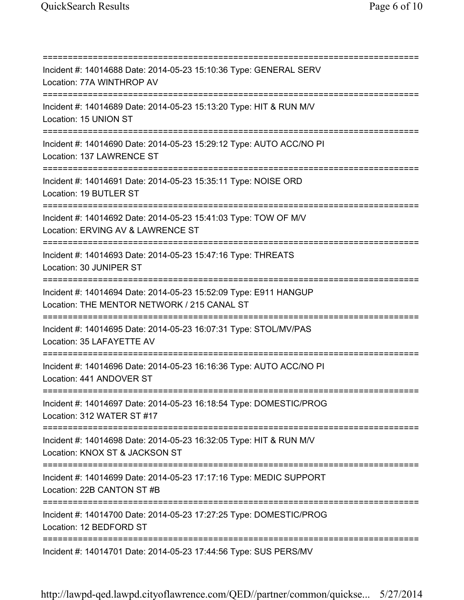=========================================================================== Incident #: 14014688 Date: 2014-05-23 15:10:36 Type: GENERAL SERV Location: 77A WINTHROP AV =========================================================================== Incident #: 14014689 Date: 2014-05-23 15:13:20 Type: HIT & RUN M/V Location: 15 UNION ST =========================================================================== Incident #: 14014690 Date: 2014-05-23 15:29:12 Type: AUTO ACC/NO PI Location: 137 LAWRENCE ST =========================================================================== Incident #: 14014691 Date: 2014-05-23 15:35:11 Type: NOISE ORD Location: 19 BUTLER ST =========================================================================== Incident #: 14014692 Date: 2014-05-23 15:41:03 Type: TOW OF M/V Location: ERVING AV & LAWRENCE ST =========================================================================== Incident #: 14014693 Date: 2014-05-23 15:47:16 Type: THREATS Location: 30 JUNIPER ST =========================================================================== Incident #: 14014694 Date: 2014-05-23 15:52:09 Type: E911 HANGUP Location: THE MENTOR NETWORK / 215 CANAL ST =========================================================================== Incident #: 14014695 Date: 2014-05-23 16:07:31 Type: STOL/MV/PAS Location: 35 LAFAYETTE AV =========================================================================== Incident #: 14014696 Date: 2014-05-23 16:16:36 Type: AUTO ACC/NO PI Location: 441 ANDOVER ST =========================================================================== Incident #: 14014697 Date: 2014-05-23 16:18:54 Type: DOMESTIC/PROG Location: 312 WATER ST #17 =========================================================================== Incident #: 14014698 Date: 2014-05-23 16:32:05 Type: HIT & RUN M/V Location: KNOX ST & JACKSON ST =========================================================================== Incident #: 14014699 Date: 2014-05-23 17:17:16 Type: MEDIC SUPPORT Location: 22B CANTON ST #B =========================================================================== Incident #: 14014700 Date: 2014-05-23 17:27:25 Type: DOMESTIC/PROG Location: 12 BEDFORD ST =========================================================================== Incident #: 14014701 Date: 2014-05-23 17:44:56 Type: SUS PERS/MV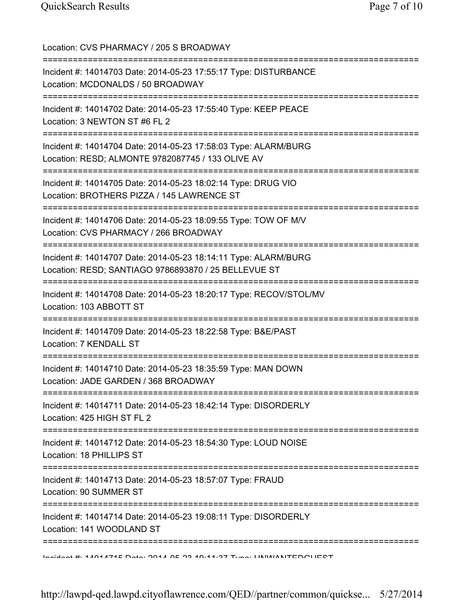Location: CVS PHARMACY / 205 S BROADWAY =========================================================================== Incident #: 14014703 Date: 2014-05-23 17:55:17 Type: DISTURBANCE Location: MCDONALDS / 50 BROADWAY =========================================================================== Incident #: 14014702 Date: 2014-05-23 17:55:40 Type: KEEP PEACE Location: 3 NEWTON ST #6 FL 2 =========================================================================== Incident #: 14014704 Date: 2014-05-23 17:58:03 Type: ALARM/BURG Location: RESD; ALMONTE 9782087745 / 133 OLIVE AV =========================================================================== Incident #: 14014705 Date: 2014-05-23 18:02:14 Type: DRUG VIO Location: BROTHERS PIZZA / 145 LAWRENCE ST =========================================================================== Incident #: 14014706 Date: 2014-05-23 18:09:55 Type: TOW OF M/V Location: CVS PHARMACY / 266 BROADWAY =========================================================================== Incident #: 14014707 Date: 2014-05-23 18:14:11 Type: ALARM/BURG Location: RESD; SANTIAGO 9786893870 / 25 BELLEVUE ST =========================================================================== Incident #: 14014708 Date: 2014-05-23 18:20:17 Type: RECOV/STOL/MV Location: 103 ABBOTT ST =========================================================================== Incident #: 14014709 Date: 2014-05-23 18:22:58 Type: B&E/PAST Location: 7 KENDALL ST =========================================================================== Incident #: 14014710 Date: 2014-05-23 18:35:59 Type: MAN DOWN Location: JADE GARDEN / 368 BROADWAY =========================================================================== Incident #: 14014711 Date: 2014-05-23 18:42:14 Type: DISORDERLY Location: 425 HIGH ST FL 2 =========================================================================== Incident #: 14014712 Date: 2014-05-23 18:54:30 Type: LOUD NOISE Location: 18 PHILLIPS ST =========================================================================== Incident #: 14014713 Date: 2014-05-23 18:57:07 Type: FRAUD Location: 90 SUMMER ST =========================================================================== Incident #: 14014714 Date: 2014-05-23 19:08:11 Type: DISORDERLY Location: 141 WOODLAND ST =========================================================================== Incident #: 14014715 Date: 2014 05 23 19:11:37 Type: UNWANTEDGUEST

http://lawpd-qed.lawpd.cityoflawrence.com/QED//partner/common/quickse... 5/27/2014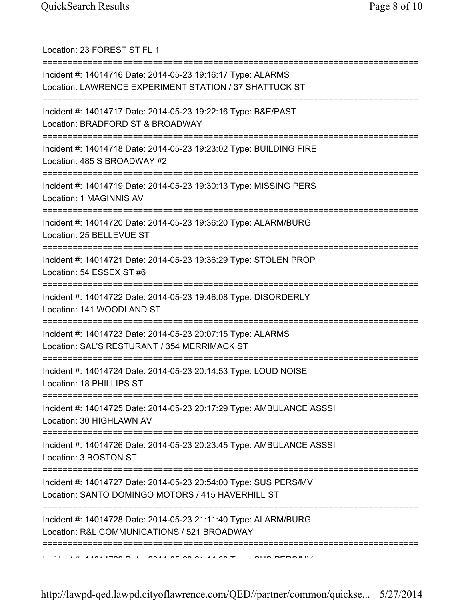| Location: 23 FOREST ST FL 1                                                                                                                        |
|----------------------------------------------------------------------------------------------------------------------------------------------------|
| Incident #: 14014716 Date: 2014-05-23 19:16:17 Type: ALARMS<br>Location: LAWRENCE EXPERIMENT STATION / 37 SHATTUCK ST                              |
| Incident #: 14014717 Date: 2014-05-23 19:22:16 Type: B&E/PAST<br>Location: BRADFORD ST & BROADWAY                                                  |
| Incident #: 14014718 Date: 2014-05-23 19:23:02 Type: BUILDING FIRE<br>Location: 485 S BROADWAY #2<br>====================================          |
| Incident #: 14014719 Date: 2014-05-23 19:30:13 Type: MISSING PERS<br>Location: 1 MAGINNIS AV                                                       |
| Incident #: 14014720 Date: 2014-05-23 19:36:20 Type: ALARM/BURG<br>Location: 25 BELLEVUE ST                                                        |
| =============================<br>Incident #: 14014721 Date: 2014-05-23 19:36:29 Type: STOLEN PROP<br>Location: 54 ESSEX ST #6                      |
| Incident #: 14014722 Date: 2014-05-23 19:46:08 Type: DISORDERLY<br>Location: 141 WOODLAND ST                                                       |
| Incident #: 14014723 Date: 2014-05-23 20:07:15 Type: ALARMS<br>Location: SAL'S RESTURANT / 354 MERRIMACK ST                                        |
| Incident #: 14014724 Date: 2014-05-23 20:14:53 Type: LOUD NOISE<br>Location: 18 PHILLIPS ST                                                        |
| Incident #: 14014725 Date: 2014-05-23 20:17:29 Type: AMBULANCE ASSSI<br>Location: 30 HIGHLAWN AV                                                   |
| Incident #: 14014726 Date: 2014-05-23 20:23:45 Type: AMBULANCE ASSSI<br>Location: 3 BOSTON ST                                                      |
| =========================<br>Incident #: 14014727 Date: 2014-05-23 20:54:00 Type: SUS PERS/MV<br>Location: SANTO DOMINGO MOTORS / 415 HAVERHILL ST |
| Incident #: 14014728 Date: 2014-05-23 21:11:40 Type: ALARM/BURG<br>Location: R&L COMMUNICATIONS / 521 BROADWAY                                     |
|                                                                                                                                                    |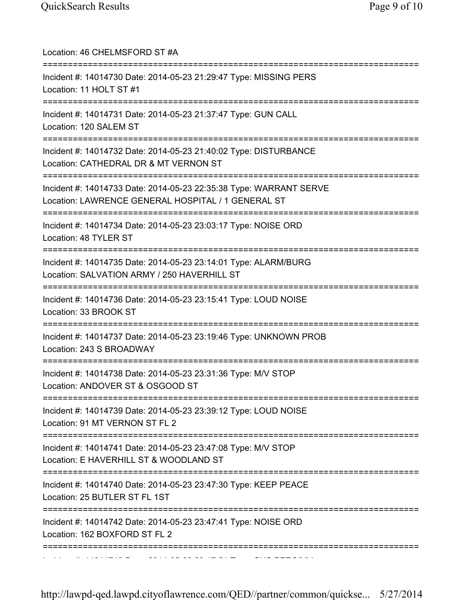| Location: 46 CHELMSFORD ST #A                                                                                                                          |
|--------------------------------------------------------------------------------------------------------------------------------------------------------|
| Incident #: 14014730 Date: 2014-05-23 21:29:47 Type: MISSING PERS<br>Location: 11 HOLT ST #1                                                           |
| Incident #: 14014731 Date: 2014-05-23 21:37:47 Type: GUN CALL<br>Location: 120 SALEM ST                                                                |
| Incident #: 14014732 Date: 2014-05-23 21:40:02 Type: DISTURBANCE<br>Location: CATHEDRAL DR & MT VERNON ST                                              |
| Incident #: 14014733 Date: 2014-05-23 22:35:38 Type: WARRANT SERVE<br>Location: LAWRENCE GENERAL HOSPITAL / 1 GENERAL ST<br>========================== |
| Incident #: 14014734 Date: 2014-05-23 23:03:17 Type: NOISE ORD<br>Location: 48 TYLER ST                                                                |
| Incident #: 14014735 Date: 2014-05-23 23:14:01 Type: ALARM/BURG<br>Location: SALVATION ARMY / 250 HAVERHILL ST<br>==================                   |
| Incident #: 14014736 Date: 2014-05-23 23:15:41 Type: LOUD NOISE<br>Location: 33 BROOK ST                                                               |
| Incident #: 14014737 Date: 2014-05-23 23:19:46 Type: UNKNOWN PROB<br>Location: 243 S BROADWAY                                                          |
| Incident #: 14014738 Date: 2014-05-23 23:31:36 Type: M/V STOP<br>Location: ANDOVER ST & OSGOOD ST                                                      |
| Incident #: 14014739 Date: 2014-05-23 23:39:12 Type: LOUD NOISE<br>Location: 91 MT VERNON ST FL 2                                                      |
| Incident #: 14014741 Date: 2014-05-23 23:47:08 Type: M/V STOP<br>Location: E HAVERHILL ST & WOODLAND ST                                                |
| =========================<br>Incident #: 14014740 Date: 2014-05-23 23:47:30 Type: KEEP PEACE<br>Location: 25 BUTLER ST FL 1ST                          |
| Incident #: 14014742 Date: 2014-05-23 23:47:41 Type: NOISE ORD<br>Location: 162 BOXFORD ST FL 2                                                        |
|                                                                                                                                                        |

Incident #: 14014743 Date: 2014 05 23 23:47:51 Type: SUS PERS/MV